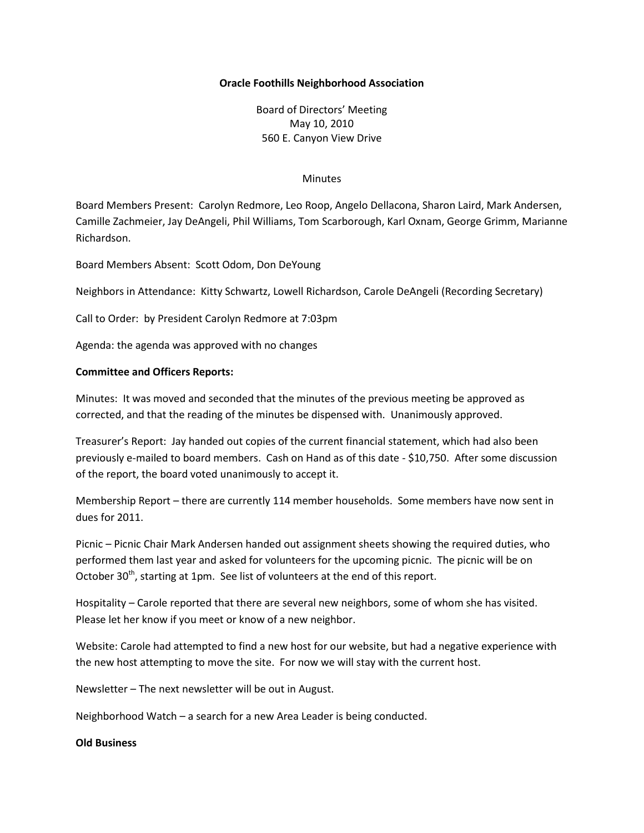#### **Oracle Foothills Neighborhood Association**

Board of Directors' Meeting May 10, 2010 560 E. Canyon View Drive

#### **Minutes**

Board Members Present: Carolyn Redmore, Leo Roop, Angelo Dellacona, Sharon Laird, Mark Andersen, Camille Zachmeier, Jay DeAngeli, Phil Williams, Tom Scarborough, Karl Oxnam, George Grimm, Marianne Richardson.

Board Members Absent: Scott Odom, Don DeYoung

Neighbors in Attendance: Kitty Schwartz, Lowell Richardson, Carole DeAngeli (Recording Secretary)

Call to Order: by President Carolyn Redmore at 7:03pm

Agenda: the agenda was approved with no changes

#### **Committee and Officers Reports:**

Minutes: It was moved and seconded that the minutes of the previous meeting be approved as corrected, and that the reading of the minutes be dispensed with. Unanimously approved.

Treasurer's Report: Jay handed out copies of the current financial statement, which had also been previously e-mailed to board members. Cash on Hand as of this date - \$10,750. After some discussion of the report, the board voted unanimously to accept it.

Membership Report – there are currently 114 member households. Some members have now sent in dues for 2011.

Picnic – Picnic Chair Mark Andersen handed out assignment sheets showing the required duties, who performed them last year and asked for volunteers for the upcoming picnic. The picnic will be on October 30<sup>th</sup>, starting at 1pm. See list of volunteers at the end of this report.

Hospitality – Carole reported that there are several new neighbors, some of whom she has visited. Please let her know if you meet or know of a new neighbor.

Website: Carole had attempted to find a new host for our website, but had a negative experience with the new host attempting to move the site. For now we will stay with the current host.

Newsletter – The next newsletter will be out in August.

Neighborhood Watch – a search for a new Area Leader is being conducted.

#### **Old Business**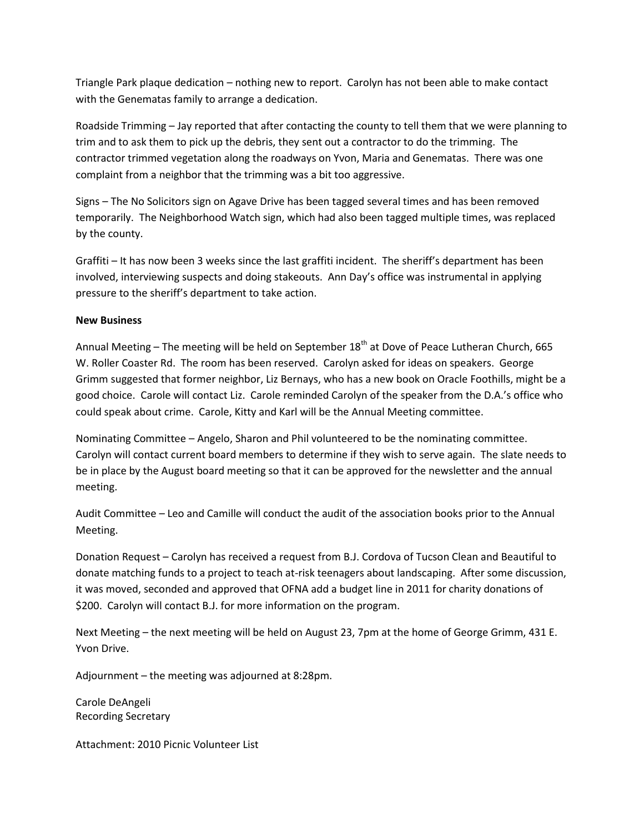Triangle Park plaque dedication – nothing new to report. Carolyn has not been able to make contact with the Genematas family to arrange a dedication.

Roadside Trimming – Jay reported that after contacting the county to tell them that we were planning to trim and to ask them to pick up the debris, they sent out a contractor to do the trimming. The contractor trimmed vegetation along the roadways on Yvon, Maria and Genematas. There was one complaint from a neighbor that the trimming was a bit too aggressive.

Signs – The No Solicitors sign on Agave Drive has been tagged several times and has been removed temporarily. The Neighborhood Watch sign, which had also been tagged multiple times, was replaced by the county.

Graffiti – It has now been 3 weeks since the last graffiti incident. The sheriff's department has been involved, interviewing suspects and doing stakeouts. Ann Day's office was instrumental in applying pressure to the sheriff's department to take action.

### **New Business**

Annual Meeting – The meeting will be held on September 18<sup>th</sup> at Dove of Peace Lutheran Church, 665 W. Roller Coaster Rd. The room has been reserved. Carolyn asked for ideas on speakers. George Grimm suggested that former neighbor, Liz Bernays, who has a new book on Oracle Foothills, might be a good choice. Carole will contact Liz. Carole reminded Carolyn of the speaker from the D.A.'s office who could speak about crime. Carole, Kitty and Karl will be the Annual Meeting committee.

Nominating Committee – Angelo, Sharon and Phil volunteered to be the nominating committee. Carolyn will contact current board members to determine if they wish to serve again. The slate needs to be in place by the August board meeting so that it can be approved for the newsletter and the annual meeting.

Audit Committee – Leo and Camille will conduct the audit of the association books prior to the Annual Meeting.

Donation Request – Carolyn has received a request from B.J. Cordova of Tucson Clean and Beautiful to donate matching funds to a project to teach at-risk teenagers about landscaping. After some discussion, it was moved, seconded and approved that OFNA add a budget line in 2011 for charity donations of \$200. Carolyn will contact B.J. for more information on the program.

Next Meeting – the next meeting will be held on August 23, 7pm at the home of George Grimm, 431 E. Yvon Drive.

Adjournment – the meeting was adjourned at 8:28pm.

Carole DeAngeli Recording Secretary

Attachment: 2010 Picnic Volunteer List